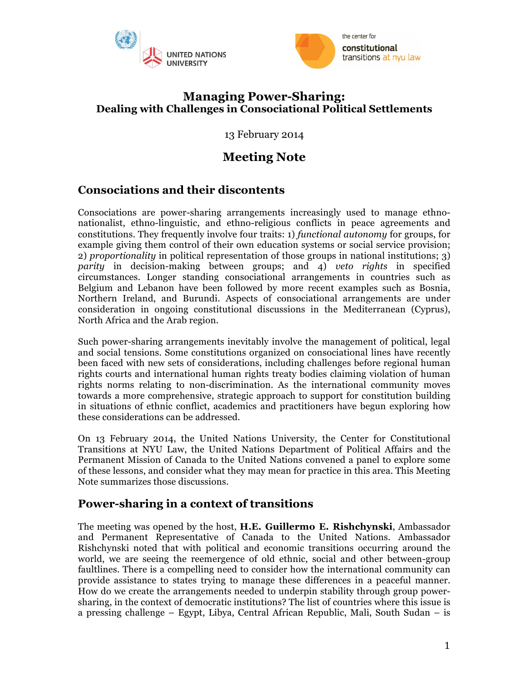



### **Managing Power-Sharing: Dealing with Challenges in Consociational Political Settlements**

13 February 2014

# **Meeting Note**

# **Consociations and their discontents**

Consociations are power-sharing arrangements increasingly used to manage ethnonationalist, ethno-linguistic, and ethno-religious conflicts in peace agreements and constitutions. They frequently involve four traits: 1) *functional autonomy* for groups, for example giving them control of their own education systems or social service provision; 2) *proportionality* in political representation of those groups in national institutions; 3) *parity* in decision-making between groups; and 4) *veto rights* in specified circumstances. Longer standing consociational arrangements in countries such as Belgium and Lebanon have been followed by more recent examples such as Bosnia, Northern Ireland, and Burundi. Aspects of consociational arrangements are under consideration in ongoing constitutional discussions in the Mediterranean (Cyprus), North Africa and the Arab region.

Such power-sharing arrangements inevitably involve the management of political, legal and social tensions. Some constitutions organized on consociational lines have recently been faced with new sets of considerations, including challenges before regional human rights courts and international human rights treaty bodies claiming violation of human rights norms relating to non-discrimination. As the international community moves towards a more comprehensive, strategic approach to support for constitution building in situations of ethnic conflict, academics and practitioners have begun exploring how these considerations can be addressed.

On 13 February 2014, the United Nations University, the Center for Constitutional Transitions at NYU Law, the United Nations Department of Political Affairs and the Permanent Mission of Canada to the United Nations convened a panel to explore some of these lessons, and consider what they may mean for practice in this area. This Meeting Note summarizes those discussions.

### **Power-sharing in a context of transitions**

The meeting was opened by the host, **H.E. Guillermo E. Rishchynski**, Ambassador and Permanent Representative of Canada to the United Nations. Ambassador Rishchynski noted that with political and economic transitions occurring around the world, we are seeing the reemergence of old ethnic, social and other between-group faultlines. There is a compelling need to consider how the international community can provide assistance to states trying to manage these differences in a peaceful manner. How do we create the arrangements needed to underpin stability through group powersharing, in the context of democratic institutions? The list of countries where this issue is a pressing challenge – Egypt, Libya, Central African Republic, Mali, South Sudan – is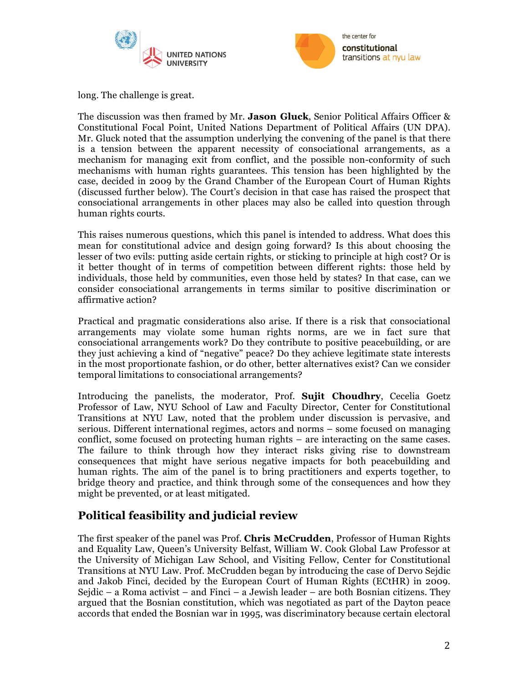



long. The challenge is great.

The discussion was then framed by Mr. **Jason Gluck**, Senior Political Affairs Officer & Constitutional Focal Point, United Nations Department of Political Affairs (UN DPA). Mr. Gluck noted that the assumption underlying the convening of the panel is that there is a tension between the apparent necessity of consociational arrangements, as a mechanism for managing exit from conflict, and the possible non-conformity of such mechanisms with human rights guarantees. This tension has been highlighted by the case, decided in 2009 by the Grand Chamber of the European Court of Human Rights (discussed further below). The Court's decision in that case has raised the prospect that consociational arrangements in other places may also be called into question through human rights courts.

This raises numerous questions, which this panel is intended to address. What does this mean for constitutional advice and design going forward? Is this about choosing the lesser of two evils: putting aside certain rights, or sticking to principle at high cost? Or is it better thought of in terms of competition between different rights: those held by individuals, those held by communities, even those held by states? In that case, can we consider consociational arrangements in terms similar to positive discrimination or affirmative action?

Practical and pragmatic considerations also arise. If there is a risk that consociational arrangements may violate some human rights norms, are we in fact sure that consociational arrangements work? Do they contribute to positive peacebuilding, or are they just achieving a kind of "negative" peace? Do they achieve legitimate state interests in the most proportionate fashion, or do other, better alternatives exist? Can we consider temporal limitations to consociational arrangements?

Introducing the panelists, the moderator, Prof. **Sujit Choudhry**, Cecelia Goetz Professor of Law, NYU School of Law and Faculty Director, Center for Constitutional Transitions at NYU Law, noted that the problem under discussion is pervasive, and serious. Different international regimes, actors and norms – some focused on managing conflict, some focused on protecting human rights – are interacting on the same cases. The failure to think through how they interact risks giving rise to downstream consequences that might have serious negative impacts for both peacebuilding and human rights. The aim of the panel is to bring practitioners and experts together, to bridge theory and practice, and think through some of the consequences and how they might be prevented, or at least mitigated.

# **Political feasibility and judicial review**

The first speaker of the panel was Prof. **Chris McCrudden**, Professor of Human Rights and Equality Law, Queen's University Belfast, William W. Cook Global Law Professor at the University of Michigan Law School, and Visiting Fellow, Center for Constitutional Transitions at NYU Law. Prof. McCrudden began by introducing the case of Dervo Sejdic and Jakob Finci, decided by the European Court of Human Rights (ECtHR) in 2009. Sejdic – a Roma activist – and Finci – a Jewish leader – are both Bosnian citizens. They argued that the Bosnian constitution, which was negotiated as part of the Dayton peace accords that ended the Bosnian war in 1995, was discriminatory because certain electoral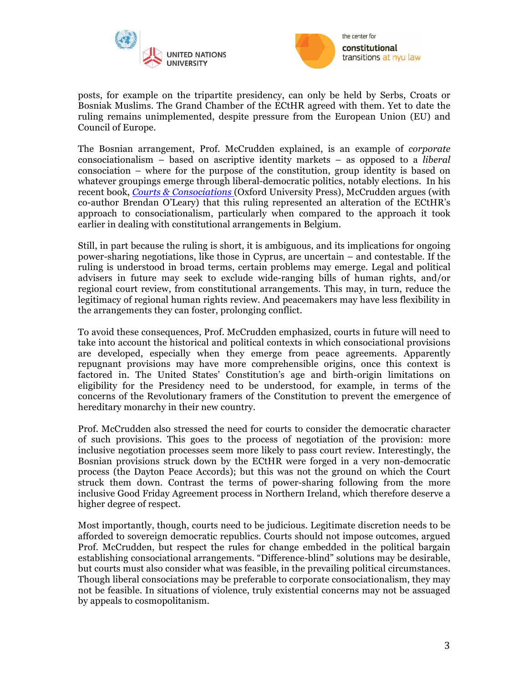



posts, for example on the tripartite presidency, can only be held by Serbs, Croats or Bosniak Muslims. The Grand Chamber of the ECtHR agreed with them. Yet to date the ruling remains unimplemented, despite pressure from the European Union (EU) and Council of Europe.

The Bosnian arrangement, Prof. McCrudden explained, is an example of *corporate*  consociationalism – based on ascriptive identity markets – as opposed to a *liberal*  consociation – where for the purpose of the constitution, group identity is based on whatever groupings emerge through liberal-democratic politics, notably elections. In his recent book, *Courts & Consociations* (Oxford University Press), McCrudden argues (with co-author Brendan O'Leary) that this ruling represented an alteration of the ECtHR's approach to consociationalism, particularly when compared to the approach it took earlier in dealing with constitutional arrangements in Belgium.

Still, in part because the ruling is short, it is ambiguous, and its implications for ongoing power-sharing negotiations, like those in Cyprus, are uncertain – and contestable. If the ruling is understood in broad terms, certain problems may emerge. Legal and political advisers in future may seek to exclude wide-ranging bills of human rights, and/or regional court review, from constitutional arrangements. This may, in turn, reduce the legitimacy of regional human rights review. And peacemakers may have less flexibility in the arrangements they can foster, prolonging conflict.

To avoid these consequences, Prof. McCrudden emphasized, courts in future will need to take into account the historical and political contexts in which consociational provisions are developed, especially when they emerge from peace agreements. Apparently repugnant provisions may have more comprehensible origins, once this context is factored in. The United States' Constitution's age and birth-origin limitations on eligibility for the Presidency need to be understood, for example, in terms of the concerns of the Revolutionary framers of the Constitution to prevent the emergence of hereditary monarchy in their new country.

Prof. McCrudden also stressed the need for courts to consider the democratic character of such provisions. This goes to the process of negotiation of the provision: more inclusive negotiation processes seem more likely to pass court review. Interestingly, the Bosnian provisions struck down by the ECtHR were forged in a very non-democratic process (the Dayton Peace Accords); but this was not the ground on which the Court struck them down. Contrast the terms of power-sharing following from the more inclusive Good Friday Agreement process in Northern Ireland, which therefore deserve a higher degree of respect.

Most importantly, though, courts need to be judicious. Legitimate discretion needs to be afforded to sovereign democratic republics. Courts should not impose outcomes, argued Prof. McCrudden, but respect the rules for change embedded in the political bargain establishing consociational arrangements. "Difference-blind" solutions may be desirable, but courts must also consider what was feasible, in the prevailing political circumstances. Though liberal consociations may be preferable to corporate consociationalism, they may not be feasible. In situations of violence, truly existential concerns may not be assuaged by appeals to cosmopolitanism.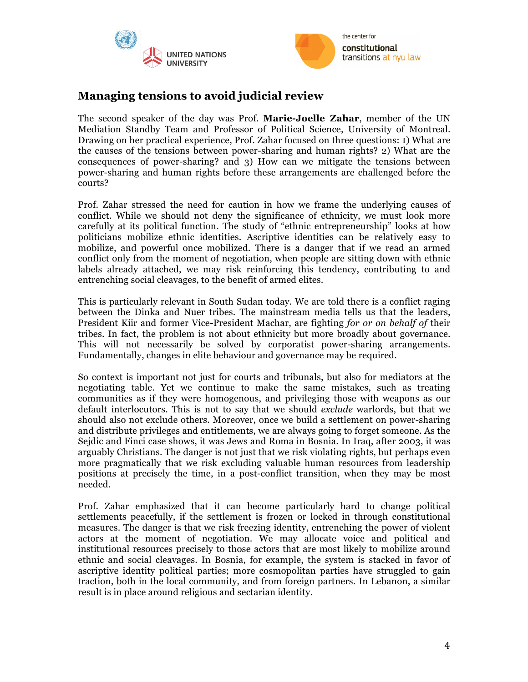



## **Managing tensions to avoid judicial review**

The second speaker of the day was Prof. **Marie-Joelle Zahar**, member of the UN Mediation Standby Team and Professor of Political Science, University of Montreal. Drawing on her practical experience, Prof. Zahar focused on three questions: 1) What are the causes of the tensions between power-sharing and human rights? 2) What are the consequences of power-sharing? and 3) How can we mitigate the tensions between power-sharing and human rights before these arrangements are challenged before the courts?

Prof. Zahar stressed the need for caution in how we frame the underlying causes of conflict. While we should not deny the significance of ethnicity, we must look more carefully at its political function. The study of "ethnic entrepreneurship" looks at how politicians mobilize ethnic identities. Ascriptive identities can be relatively easy to mobilize, and powerful once mobilized. There is a danger that if we read an armed conflict only from the moment of negotiation, when people are sitting down with ethnic labels already attached, we may risk reinforcing this tendency, contributing to and entrenching social cleavages, to the benefit of armed elites.

This is particularly relevant in South Sudan today. We are told there is a conflict raging between the Dinka and Nuer tribes. The mainstream media tells us that the leaders, President Kiir and former Vice-President Machar, are fighting *for or on behalf of* their tribes. In fact, the problem is not about ethnicity but more broadly about governance. This will not necessarily be solved by corporatist power-sharing arrangements. Fundamentally, changes in elite behaviour and governance may be required.

So context is important not just for courts and tribunals, but also for mediators at the negotiating table. Yet we continue to make the same mistakes, such as treating communities as if they were homogenous, and privileging those with weapons as our default interlocutors. This is not to say that we should *exclude* warlords, but that we should also not exclude others. Moreover, once we build a settlement on power-sharing and distribute privileges and entitlements, we are always going to forget someone. As the Sejdic and Finci case shows, it was Jews and Roma in Bosnia. In Iraq, after 2003, it was arguably Christians. The danger is not just that we risk violating rights, but perhaps even more pragmatically that we risk excluding valuable human resources from leadership positions at precisely the time, in a post-conflict transition, when they may be most needed.

Prof. Zahar emphasized that it can become particularly hard to change political settlements peacefully, if the settlement is frozen or locked in through constitutional measures. The danger is that we risk freezing identity, entrenching the power of violent actors at the moment of negotiation. We may allocate voice and political and institutional resources precisely to those actors that are most likely to mobilize around ethnic and social cleavages. In Bosnia, for example, the system is stacked in favor of ascriptive identity political parties; more cosmopolitan parties have struggled to gain traction, both in the local community, and from foreign partners. In Lebanon, a similar result is in place around religious and sectarian identity.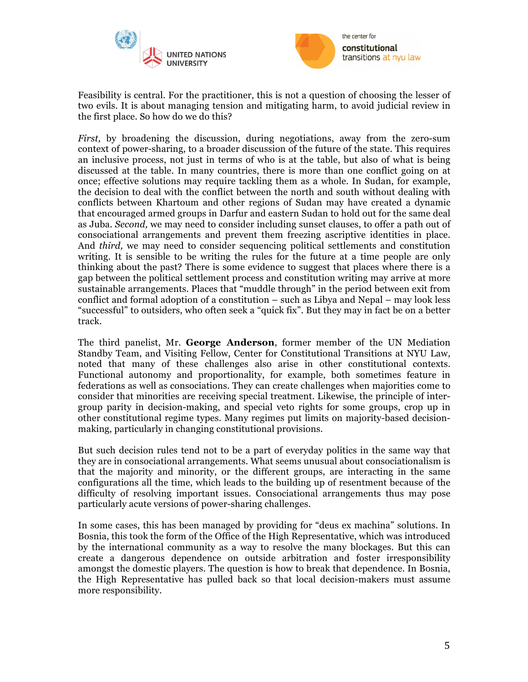



Feasibility is central. For the practitioner, this is not a question of choosing the lesser of two evils. It is about managing tension and mitigating harm, to avoid judicial review in the first place. So how do we do this?

*First,* by broadening the discussion, during negotiations, away from the zero-sum context of power-sharing, to a broader discussion of the future of the state. This requires an inclusive process, not just in terms of who is at the table, but also of what is being discussed at the table. In many countries, there is more than one conflict going on at once; effective solutions may require tackling them as a whole. In Sudan, for example, the decision to deal with the conflict between the north and south without dealing with conflicts between Khartoum and other regions of Sudan may have created a dynamic that encouraged armed groups in Darfur and eastern Sudan to hold out for the same deal as Juba. *Second,* we may need to consider including sunset clauses, to offer a path out of consociational arrangements and prevent them freezing ascriptive identities in place. And *third,* we may need to consider sequencing political settlements and constitution writing. It is sensible to be writing the rules for the future at a time people are only thinking about the past? There is some evidence to suggest that places where there is a gap between the political settlement process and constitution writing may arrive at more sustainable arrangements. Places that "muddle through" in the period between exit from conflict and formal adoption of a constitution – such as Libya and Nepal – may look less "successful" to outsiders, who often seek a "quick fix". But they may in fact be on a better track.

The third panelist, Mr. **George Anderson**, former member of the UN Mediation Standby Team, and Visiting Fellow, Center for Constitutional Transitions at NYU Law, noted that many of these challenges also arise in other constitutional contexts. Functional autonomy and proportionality, for example, both sometimes feature in federations as well as consociations. They can create challenges when majorities come to consider that minorities are receiving special treatment. Likewise, the principle of intergroup parity in decision-making, and special veto rights for some groups, crop up in other constitutional regime types. Many regimes put limits on majority-based decisionmaking, particularly in changing constitutional provisions.

But such decision rules tend not to be a part of everyday politics in the same way that they are in consociational arrangements. What seems unusual about consociationalism is that the majority and minority, or the different groups, are interacting in the same configurations all the time, which leads to the building up of resentment because of the difficulty of resolving important issues. Consociational arrangements thus may pose particularly acute versions of power-sharing challenges.

In some cases, this has been managed by providing for "deus ex machina" solutions. In Bosnia, this took the form of the Office of the High Representative, which was introduced by the international community as a way to resolve the many blockages. But this can create a dangerous dependence on outside arbitration and foster irresponsibility amongst the domestic players. The question is how to break that dependence. In Bosnia, the High Representative has pulled back so that local decision-makers must assume more responsibility.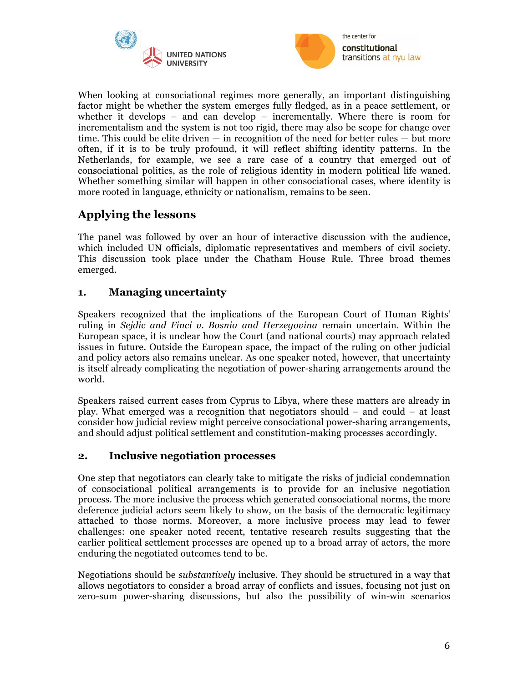



When looking at consociational regimes more generally, an important distinguishing factor might be whether the system emerges fully fledged, as in a peace settlement, or whether it develops – and can develop – incrementally. Where there is room for incrementalism and the system is not too rigid, there may also be scope for change over time. This could be elite driven — in recognition of the need for better rules — but more often, if it is to be truly profound, it will reflect shifting identity patterns. In the Netherlands, for example, we see a rare case of a country that emerged out of consociational politics, as the role of religious identity in modern political life waned. Whether something similar will happen in other consociational cases, where identity is more rooted in language, ethnicity or nationalism, remains to be seen.

# **Applying the lessons**

The panel was followed by over an hour of interactive discussion with the audience, which included UN officials, diplomatic representatives and members of civil society. This discussion took place under the Chatham House Rule. Three broad themes emerged.

### **1. Managing uncertainty**

Speakers recognized that the implications of the European Court of Human Rights' ruling in *Sejdic and Finci v. Bosnia and Herzegovina* remain uncertain. Within the European space, it is unclear how the Court (and national courts) may approach related issues in future. Outside the European space, the impact of the ruling on other judicial and policy actors also remains unclear. As one speaker noted, however, that uncertainty is itself already complicating the negotiation of power-sharing arrangements around the world.

Speakers raised current cases from Cyprus to Libya, where these matters are already in play. What emerged was a recognition that negotiators should – and could – at least consider how judicial review might perceive consociational power-sharing arrangements, and should adjust political settlement and constitution-making processes accordingly.

### **2. Inclusive negotiation processes**

One step that negotiators can clearly take to mitigate the risks of judicial condemnation of consociational political arrangements is to provide for an inclusive negotiation process. The more inclusive the process which generated consociational norms, the more deference judicial actors seem likely to show, on the basis of the democratic legitimacy attached to those norms. Moreover, a more inclusive process may lead to fewer challenges: one speaker noted recent, tentative research results suggesting that the earlier political settlement processes are opened up to a broad array of actors, the more enduring the negotiated outcomes tend to be.

Negotiations should be *substantively* inclusive. They should be structured in a way that allows negotiators to consider a broad array of conflicts and issues, focusing not just on zero-sum power-sharing discussions, but also the possibility of win-win scenarios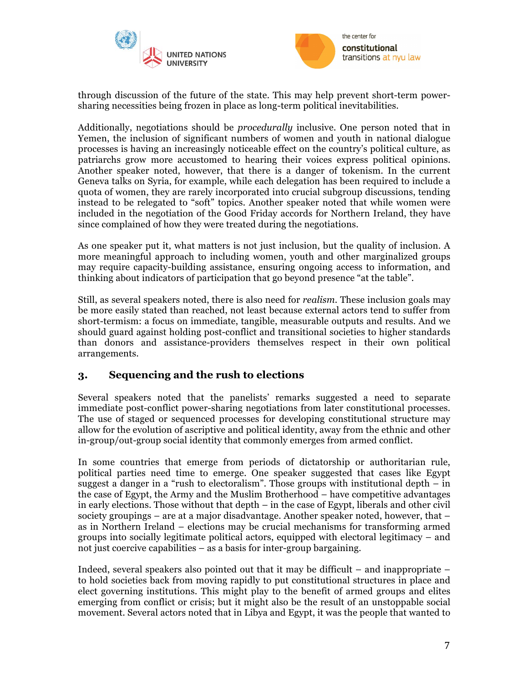



through discussion of the future of the state. This may help prevent short-term powersharing necessities being frozen in place as long-term political inevitabilities.

Additionally, negotiations should be *procedurally* inclusive. One person noted that in Yemen, the inclusion of significant numbers of women and youth in national dialogue processes is having an increasingly noticeable effect on the country's political culture, as patriarchs grow more accustomed to hearing their voices express political opinions. Another speaker noted, however, that there is a danger of tokenism. In the current Geneva talks on Syria, for example, while each delegation has been required to include a quota of women, they are rarely incorporated into crucial subgroup discussions, tending instead to be relegated to "soft" topics. Another speaker noted that while women were included in the negotiation of the Good Friday accords for Northern Ireland, they have since complained of how they were treated during the negotiations.

As one speaker put it, what matters is not just inclusion, but the quality of inclusion. A more meaningful approach to including women, youth and other marginalized groups may require capacity-building assistance, ensuring ongoing access to information, and thinking about indicators of participation that go beyond presence "at the table".

Still, as several speakers noted, there is also need for *realism.* These inclusion goals may be more easily stated than reached, not least because external actors tend to suffer from short-termism: a focus on immediate, tangible, measurable outputs and results. And we should guard against holding post-conflict and transitional societies to higher standards than donors and assistance-providers themselves respect in their own political arrangements.

### **3. Sequencing and the rush to elections**

Several speakers noted that the panelists' remarks suggested a need to separate immediate post-conflict power-sharing negotiations from later constitutional processes. The use of staged or sequenced processes for developing constitutional structure may allow for the evolution of ascriptive and political identity, away from the ethnic and other in-group/out-group social identity that commonly emerges from armed conflict.

In some countries that emerge from periods of dictatorship or authoritarian rule, political parties need time to emerge. One speaker suggested that cases like Egypt suggest a danger in a "rush to electoralism". Those groups with institutional depth – in the case of Egypt, the Army and the Muslim Brotherhood – have competitive advantages in early elections. Those without that depth – in the case of Egypt, liberals and other civil society groupings – are at a major disadvantage. Another speaker noted, however, that – as in Northern Ireland – elections may be crucial mechanisms for transforming armed groups into socially legitimate political actors, equipped with electoral legitimacy – and not just coercive capabilities – as a basis for inter-group bargaining.

Indeed, several speakers also pointed out that it may be difficult – and inappropriate – to hold societies back from moving rapidly to put constitutional structures in place and elect governing institutions. This might play to the benefit of armed groups and elites emerging from conflict or crisis; but it might also be the result of an unstoppable social movement. Several actors noted that in Libya and Egypt, it was the people that wanted to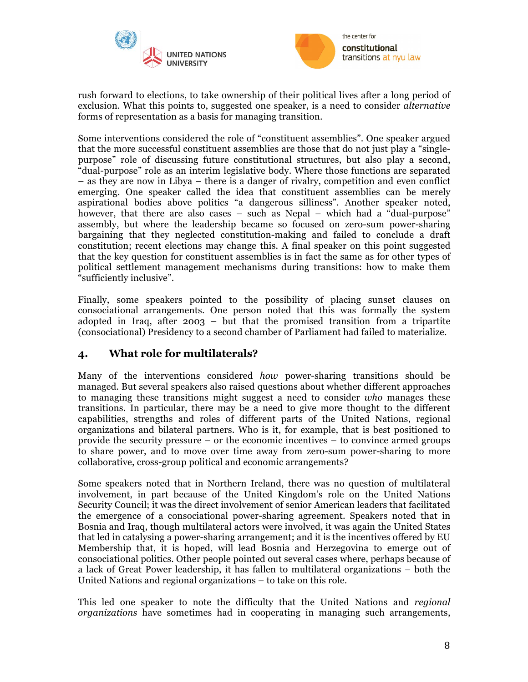



rush forward to elections, to take ownership of their political lives after a long period of exclusion. What this points to, suggested one speaker, is a need to consider *alternative*  forms of representation as a basis for managing transition.

Some interventions considered the role of "constituent assemblies". One speaker argued that the more successful constituent assemblies are those that do not just play a "singlepurpose" role of discussing future constitutional structures, but also play a second, "dual-purpose" role as an interim legislative body. Where those functions are separated – as they are now in Libya – there is a danger of rivalry, competition and even conflict emerging. One speaker called the idea that constituent assemblies can be merely aspirational bodies above politics "a dangerous silliness". Another speaker noted, however, that there are also cases – such as Nepal – which had a "dual-purpose" assembly, but where the leadership became so focused on zero-sum power-sharing bargaining that they neglected constitution-making and failed to conclude a draft constitution; recent elections may change this. A final speaker on this point suggested that the key question for constituent assemblies is in fact the same as for other types of political settlement management mechanisms during transitions: how to make them "sufficiently inclusive".

Finally, some speakers pointed to the possibility of placing sunset clauses on consociational arrangements. One person noted that this was formally the system adopted in Iraq, after 2003 – but that the promised transition from a tripartite (consociational) Presidency to a second chamber of Parliament had failed to materialize.

### **4. What role for multilaterals?**

Many of the interventions considered *how* power-sharing transitions should be managed. But several speakers also raised questions about whether different approaches to managing these transitions might suggest a need to consider *who* manages these transitions. In particular, there may be a need to give more thought to the different capabilities, strengths and roles of different parts of the United Nations, regional organizations and bilateral partners. Who is it, for example, that is best positioned to provide the security pressure – or the economic incentives – to convince armed groups to share power, and to move over time away from zero-sum power-sharing to more collaborative, cross-group political and economic arrangements?

Some speakers noted that in Northern Ireland, there was no question of multilateral involvement, in part because of the United Kingdom's role on the United Nations Security Council; it was the direct involvement of senior American leaders that facilitated the emergence of a consociational power-sharing agreement. Speakers noted that in Bosnia and Iraq, though multilateral actors were involved, it was again the United States that led in catalysing a power-sharing arrangement; and it is the incentives offered by EU Membership that, it is hoped, will lead Bosnia and Herzegovina to emerge out of consociational politics. Other people pointed out several cases where, perhaps because of a lack of Great Power leadership, it has fallen to multilateral organizations – both the United Nations and regional organizations – to take on this role.

This led one speaker to note the difficulty that the United Nations and *regional organizations* have sometimes had in cooperating in managing such arrangements,